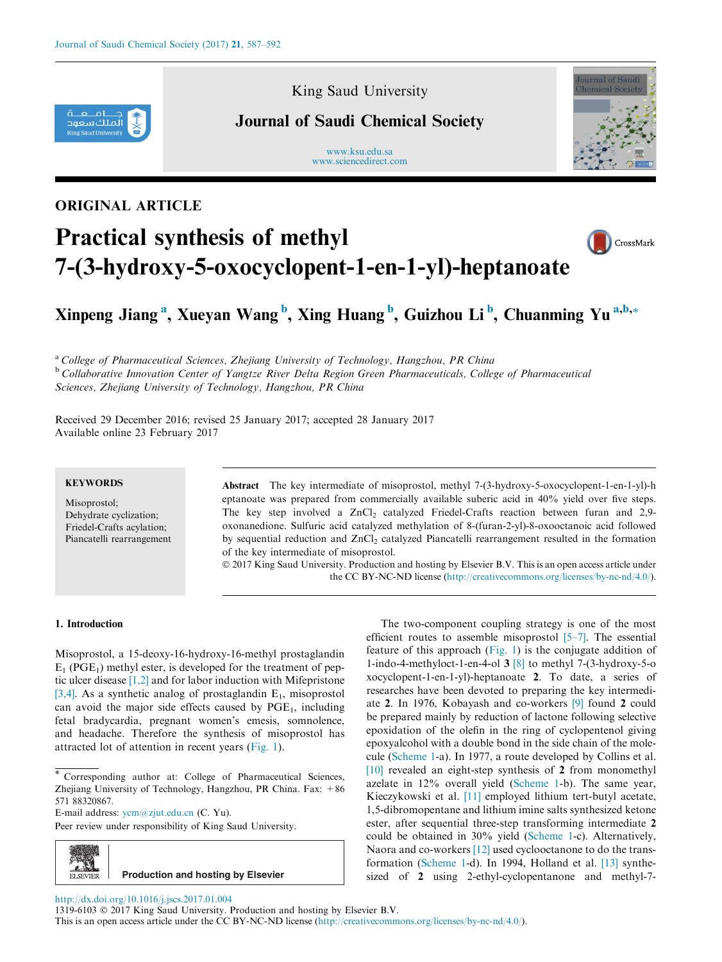

King Saud University

### Journal of Saudi Chemical Society

www.ksu.edu.sa [www.sciencedirect.com](http://www.sciencedirect.com/science/journal/13196103)



## ORIGINAL ARTICLE

# Practical synthesis of methyl 7-(3-hydroxy-5-oxocyclopent-1-en-1-yl)-heptanoate



## Xinpeng Jiang<sup>a</sup>, Xueyan Wang<sup>b</sup>, Xing Huang<sup>b</sup>, Guizhou Li<sup>b</sup>, Chuanming Yu<sup>a,b,</sup>\*

<sup>a</sup> College of Pharmaceutical Sciences, Zhejiang University of Technology, Hangzhou, PR China <sup>b</sup> Collaborative Innovation Center of Yangtze River Delta Region Green Pharmaceuticals, College of Pharmaceutical Sciences, Zhejiang University of Technology, Hangzhou, PR China

Received 29 December 2016; revised 25 January 2017; accepted 28 January 2017 Available online 23 February 2017

#### **KEYWORDS**

Misoprostol; Dehydrate cyclization; Friedel-Crafts acylation; Piancatelli rearrangement

Abstract The key intermediate of misoprostol, methyl 7-(3-hydroxy-5-oxocyclopent-1-en-1-yl)-h eptanoate was prepared from commercially available suberic acid in 40% yield over five steps. The key step involved a  $ZnCl<sub>2</sub>$  catalyzed Friedel-Crafts reaction between furan and 2,9oxonanedione. Sulfuric acid catalyzed methylation of 8-(furan-2-yl)-8-oxooctanoic acid followed by sequential reduction and ZnCl<sub>2</sub> catalyzed Piancatelli rearrangement resulted in the formation of the key intermediate of misoprostol.

 2017 King Saud University. Production and hosting by Elsevier B.V. This is an open access article under the CC BY-NC-ND license ([http://creativecommons.org/licenses/by-nc-nd/4.0/\)](http://creativecommons.org/licenses/by-nc-nd/4.0/).

#### 1. Introduction

Misoprostol, a 15-deoxy-16-hydroxy-16-methyl prostaglandin  $E_1$  (PGE<sub>1</sub>) methyl ester, is developed for the treatment of peptic ulcer disease [\[1,2\]](#page-5-0) and for labor induction with Mifepristone [\[3,4\].](#page-5-0) As a synthetic analog of prostaglandin  $E_1$ , misoprostol can avoid the major side effects caused by  $PGE_1$ , including fetal bradycardia, pregnant women's emesis, somnolence, and headache. Therefore the synthesis of misoprostol has attracted lot of attention in recent years ([Fig. 1](#page-1-0)).

E-mail address: [ycm@zjut.edu.cn](mailto:ycm@zjut.edu.cn) (C. Yu).

Peer review under responsibility of King Saud University.



The two-component coupling strategy is one of the most efficient routes to assemble misoprostol  $[5-7]$ . The essential feature of this approach  $(Fig, 1)$  is the conjugate addition of 1-indo-4-methyloct-1-en-4-ol  $3 \times 8$  to methyl 7-(3-hydroxy-5-o xocyclopent-1-en-1-yl)-heptanoate 2. To date, a series of researches have been devoted to preparing the key intermediate 2. In 1976, Kobayash and co-workers [\[9\]](#page-5-0) found 2 could be prepared mainly by reduction of lactone following selective epoxidation of the olefin in the ring of cyclopentenol giving epoxyalcohol with a double bond in the side chain of the molecule [\(Scheme 1-](#page-1-0)a). In 1977, a route developed by Collins et al. [\[10\]](#page-5-0) revealed an eight-step synthesis of 2 from monomethyl azelate in 12% overall yield ([Scheme 1-](#page-1-0)b). The same year, Kieczykowski et al. [\[11\]](#page-5-0) employed lithium tert-butyl acetate, 1,5-dibromopentane and lithium imine salts synthesized ketone ester, after sequential three-step transforming intermediate 2 could be obtained in 30% yield ([Scheme 1](#page-1-0)-c). Alternatively, Naora and co-workers [\[12\]](#page-5-0) used cyclooctanone to do the transformation ([Scheme 1-](#page-1-0)d). In 1994, Holland et al. [\[13\]](#page-5-0) synthesized of 2 using 2-ethyl-cyclopentanone and methyl-7-

<http://dx.doi.org/10.1016/j.jscs.2017.01.004>

1319-6103 2017 King Saud University. Production and hosting by Elsevier B.V.

This is an open access article under the CC BY-NC-ND license [\(http://creativecommons.org/licenses/by-nc-nd/4.0/](http://creativecommons.org/licenses/by-nc-nd/4.0/)).

Corresponding author at: College of Pharmaceutical Sciences, Zhejiang University of Technology, Hangzhou, PR China. Fax:  $+86$ 571 88320867.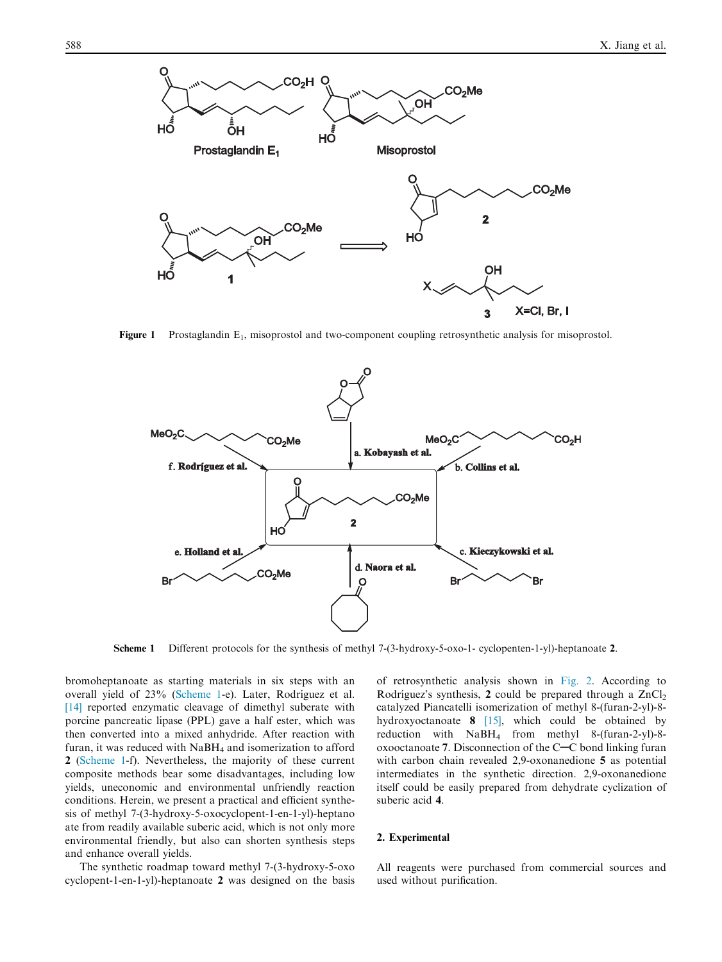<span id="page-1-0"></span>

**Figure 1** Prostaglandin  $E_1$ , misoprostol and two-component coupling retrosynthetic analysis for misoprostol.



Scheme 1 Different protocols for the synthesis of methyl 7-(3-hydroxy-5-oxo-1- cyclopenten-1-yl)-heptanoate 2.

bromoheptanoate as starting materials in six steps with an overall yield of 23% (Scheme 1-e). Later, Rodríguez et al. [\[14\]](#page-5-0) reported enzymatic cleavage of dimethyl suberate with porcine pancreatic lipase (PPL) gave a half ester, which was then converted into a mixed anhydride. After reaction with furan, it was reduced with  $N$ a $BH<sub>4</sub>$  and isomerization to afford 2 (Scheme 1-f). Nevertheless, the majority of these current composite methods bear some disadvantages, including low yields, uneconomic and environmental unfriendly reaction conditions. Herein, we present a practical and efficient synthesis of methyl 7-(3-hydroxy-5-oxocyclopent-1-en-1-yl)-heptano ate from readily available suberic acid, which is not only more environmental friendly, but also can shorten synthesis steps and enhance overall yields.

The synthetic roadmap toward methyl 7-(3-hydroxy-5-oxo cyclopent-1-en-1-yl)-heptanoate 2 was designed on the basis of retrosynthetic analysis shown in [Fig. 2](#page-2-0). According to Rodríguez's synthesis, 2 could be prepared through a  $ZnCl<sub>2</sub>$ catalyzed Piancatelli isomerization of methyl 8-(furan-2-yl)-8 hydroxyoctanoate  $8$  [\[15\],](#page-5-0) which could be obtained by reduction with NaBH4 from methyl 8-(furan-2-yl)-8 oxooctanoate 7. Disconnection of the  $C-C$  bond linking furan with carbon chain revealed 2,9-oxonanedione 5 as potential intermediates in the synthetic direction. 2,9-oxonanedione itself could be easily prepared from dehydrate cyclization of suberic acid 4.

#### 2. Experimental

All reagents were purchased from commercial sources and used without purification.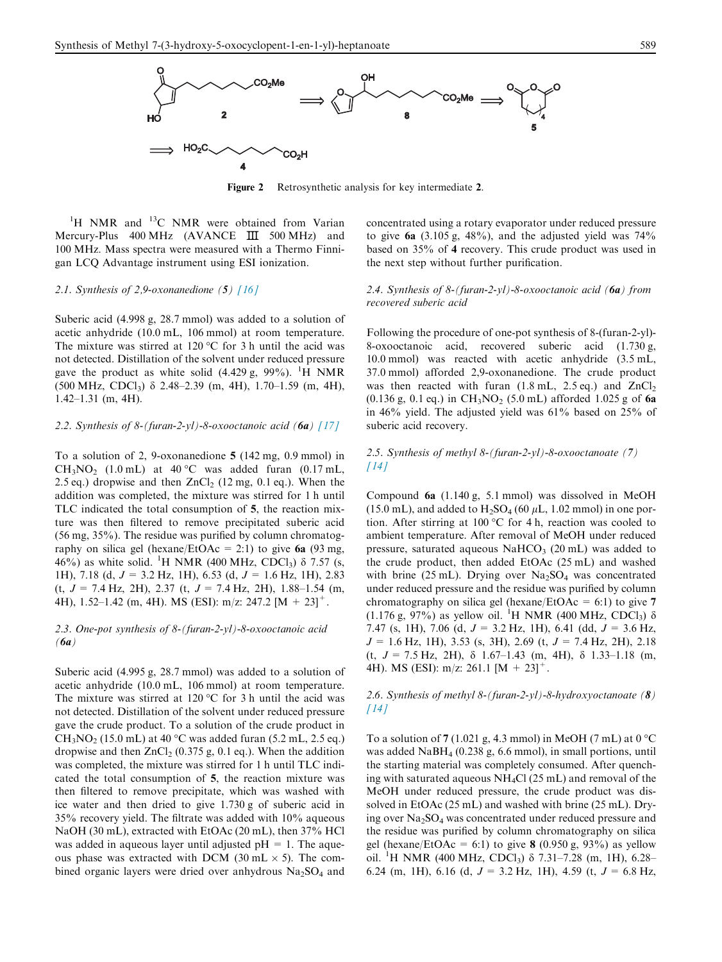<span id="page-2-0"></span>

Figure 2 Retrosynthetic analysis for key intermediate 2.

<sup>1</sup>H NMR and <sup>13</sup>C NMR were obtained from Varian Mercury-Plus 400 MHz (AVANCE III 500 MHz) and 100 MHz. Mass spectra were measured with a Thermo Finnigan LCQ Advantage instrument using ESI ionization.

#### 2.1. Synthesis of 2,9-oxonanedione  $(5)$  [\[16\]](#page-5-0)

Suberic acid (4.998 g, 28.7 mmol) was added to a solution of acetic anhydride (10.0 mL, 106 mmol) at room temperature. The mixture was stirred at 120  $\rm{^{\circ}C}$  for 3 h until the acid was not detected. Distillation of the solvent under reduced pressure gave the product as white solid  $(4.429 \text{ g}, 99\%)$ . <sup>1</sup>H NMR  $(500 \text{ MHz}, \text{CDCl}_3)$   $\delta$  2.48–2.39 (m, 4H), 1.70–1.59 (m, 4H), 1.42–1.31 (m, 4H).

#### 2.2. Synthesis of 8-(furan-2-yl)-8-oxooctanoic acid (6a)  $[17]$

To a solution of 2, 9-oxonanedione 5 (142 mg, 0.9 mmol) in  $CH<sub>3</sub>NO<sub>2</sub>$  (1.0 mL) at 40 °C was added furan (0.17 mL, 2.5 eq.) dropwise and then  $ZnCl<sub>2</sub>$  (12 mg, 0.1 eq.). When the addition was completed, the mixture was stirred for 1 h until TLC indicated the total consumption of 5, the reaction mixture was then filtered to remove precipitated suberic acid (56 mg, 35%). The residue was purified by column chromatography on silica gel (hexane/EtOAc = 2:1) to give  $6a$  (93 mg, 46%) as white solid. <sup>1</sup>H NMR (400 MHz, CDCl<sub>3</sub>) δ 7.57 (s, 1H), 7.18 (d,  $J = 3.2$  Hz, 1H), 6.53 (d,  $J = 1.6$  Hz, 1H), 2.83  $(t, J = 7.4 \text{ Hz}, 2\text{H}), 2.37 (t, J = 7.4 \text{ Hz}, 2\text{H}), 1.88-1.54 (m,$ 4H), 1.52–1.42 (m, 4H). MS (ESI): m/z: 247.2 [M + 23]<sup>+</sup>.

#### 2.3. One-pot synthesis of 8-(furan-2-yl)-8-oxooctanoic acid  $(6a)$

Suberic acid (4.995 g, 28.7 mmol) was added to a solution of acetic anhydride (10.0 mL, 106 mmol) at room temperature. The mixture was stirred at 120  $\rm{^{\circ}C}$  for 3 h until the acid was not detected. Distillation of the solvent under reduced pressure gave the crude product. To a solution of the crude product in  $CH<sub>3</sub>NO<sub>2</sub>$  (15.0 mL) at 40 °C was added furan (5.2 mL, 2.5 eq.) dropwise and then  $ZnCl<sub>2</sub>$  (0.375 g, 0.1 eq.). When the addition was completed, the mixture was stirred for 1 h until TLC indicated the total consumption of 5, the reaction mixture was then filtered to remove precipitate, which was washed with ice water and then dried to give 1.730 g of suberic acid in 35% recovery yield. The filtrate was added with 10% aqueous NaOH (30 mL), extracted with EtOAc (20 mL), then 37% HCl was added in aqueous layer until adjusted  $pH = 1$ . The aqueous phase was extracted with DCM (30 mL  $\times$  5). The combined organic layers were dried over anhydrous  $Na<sub>2</sub>SO<sub>4</sub>$  and concentrated using a rotary evaporator under reduced pressure to give  $6a$  (3.105 g, 48%), and the adjusted yield was  $74\%$ based on 35% of 4 recovery. This crude product was used in the next step without further purification.

#### 2.4. Synthesis of 8-(furan-2-yl)-8-oxooctanoic acid ( $6a$ ) from recovered suberic acid

Following the procedure of one-pot synthesis of 8-(furan-2-yl)- 8-oxooctanoic acid, recovered suberic acid (1.730 g, 10.0 mmol) was reacted with acetic anhydride (3.5 mL, 37.0 mmol) afforded 2,9-oxonanedione. The crude product was then reacted with furan  $(1.8 \text{ mL}, 2.5 \text{ eq.})$  and  $ZnCl<sub>2</sub>$ (0.136 g, 0.1 eq.) in  $CH_3NO_2$  (5.0 mL) afforded 1.025 g of 6a in 46% yield. The adjusted yield was 61% based on 25% of suberic acid recovery.

#### 2.5. Synthesis of methyl 8-(furan-2-yl)-8-oxooctanoate (7)  $[14]$

Compound 6a (1.140 g, 5.1 mmol) was dissolved in MeOH (15.0 mL), and added to  $H_2SO_4$  (60  $\mu$ L, 1.02 mmol) in one portion. After stirring at 100 °C for 4 h, reaction was cooled to ambient temperature. After removal of MeOH under reduced pressure, saturated aqueous  $NaHCO<sub>3</sub>$  (20 mL) was added to the crude product, then added EtOAc (25 mL) and washed with brine (25 mL). Drying over  $Na<sub>2</sub>SO<sub>4</sub>$  was concentrated under reduced pressure and the residue was purified by column chromatography on silica gel (hexane/EtOAc = 6:1) to give 7  $(1.176 \text{ g}, 97\%)$  as yellow oil. <sup>1</sup>H NMR (400 MHz, CDCl<sub>3</sub>)  $\delta$ 7.47 (s, 1H), 7.06 (d,  $J = 3.2$  Hz, 1H), 6.41 (dd,  $J = 3.6$  Hz,  $J = 1.6$  Hz, 1H), 3.53 (s, 3H), 2.69 (t,  $J = 7.4$  Hz, 2H), 2.18 (t,  $J = 7.5$  Hz, 2H),  $\delta$  1.67–1.43 (m, 4H),  $\delta$  1.33–1.18 (m, 4H). MS (ESI): m/z: 261.1  $[M + 23]$ <sup>+</sup>.

#### 2.6. Synthesis of methyl 8-(furan-2-yl)-8-hydroxyoctanoate  $(8)$  $[14]$

To a solution of 7 (1.021 g, 4.3 mmol) in MeOH (7 mL) at  $0^{\circ}$ C was added NaBH4 (0.238 g, 6.6 mmol), in small portions, until the starting material was completely consumed. After quenching with saturated aqueous NH4Cl (25 mL) and removal of the MeOH under reduced pressure, the crude product was dissolved in EtOAc (25 mL) and washed with brine (25 mL). Drying over  $Na<sub>2</sub>SO<sub>4</sub>$  was concentrated under reduced pressure and the residue was purified by column chromatography on silica gel (hexane/EtOAc = 6:1) to give 8 (0.950 g, 93%) as yellow oil. <sup>1</sup>H NMR (400 MHz, CDCl<sub>3</sub>) δ 7.31-7.28 (m, 1H), 6.28-6.24 (m, 1H), 6.16 (d,  $J = 3.2$  Hz, 1H), 4.59 (t,  $J = 6.8$  Hz,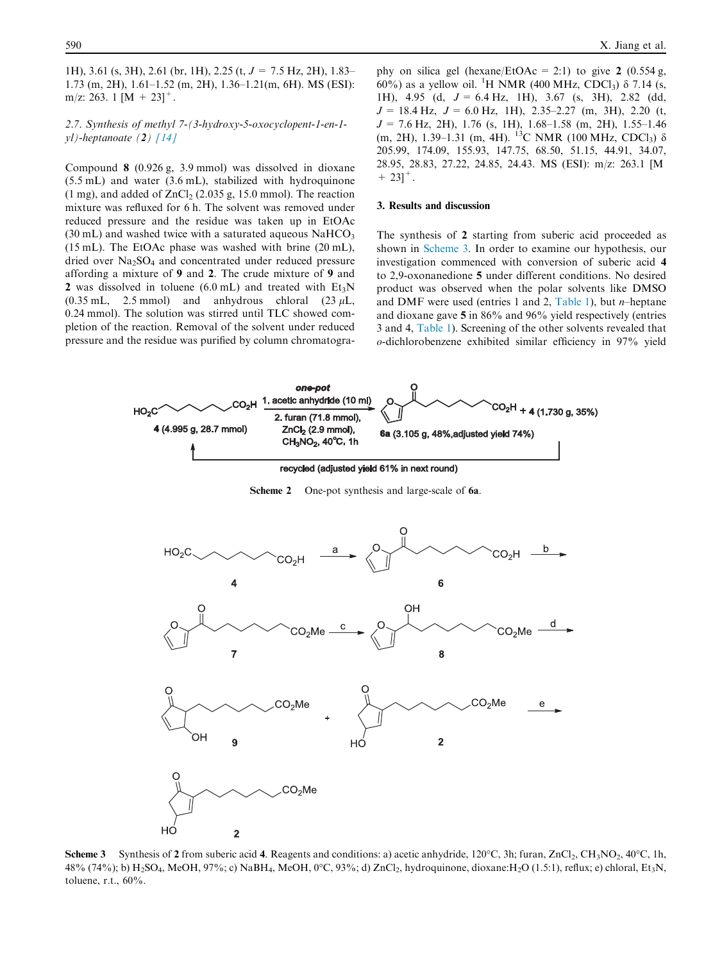<span id="page-3-0"></span>1H), 3.61 (s, 3H), 2.61 (br, 1H), 2.25 (t,  $J = 7.5$  Hz, 2H), 1.83– 1.73 (m, 2H), 1.61–1.52 (m, 2H), 1.36–1.21(m, 6H). MS (ESI): m/z: 263. 1  $[M + 23]$ <sup>+</sup>.

#### 2.7. Synthesis of methyl 7-(3-hydroxy-5-oxocyclopent-1-en-1  $vl$ )-heptanoate (2) [\[14\]](#page-5-0)

Compound 8 (0.926 g, 3.9 mmol) was dissolved in dioxane (5.5 mL) and water (3.6 mL), stabilized with hydroquinone (1 mg), and added of  $ZnCl<sub>2</sub>$  (2.035 g, 15.0 mmol). The reaction mixture was refluxed for 6 h. The solvent was removed under reduced pressure and the residue was taken up in EtOAc  $(30 \text{ mL})$  and washed twice with a saturated aqueous NaHCO<sub>3</sub> (15 mL). The EtOAc phase was washed with brine (20 mL), dried over Na<sub>2</sub>SO<sub>4</sub> and concentrated under reduced pressure affording a mixture of 9 and 2. The crude mixture of 9 and 2 was dissolved in toluene  $(6.0 \text{ mL})$  and treated with  $Et_3N$ (0.35 mL, 2.5 mmol) and anhydrous chloral (23  $\mu$ L, 0.24 mmol). The solution was stirred until TLC showed completion of the reaction. Removal of the solvent under reduced pressure and the residue was purified by column chromatogra-

phy on silica gel (hexane/EtOAc = 2:1) to give 2 (0.554 g, 60%) as a yellow oil. <sup>1</sup>H NMR (400 MHz, CDCl<sub>3</sub>)  $\delta$  7.14 (s, 1H), 4.95 (d,  $J = 6.4$  Hz, 1H), 3.67 (s, 3H), 2.82 (dd,  $J = 18.4$  Hz,  $J = 6.0$  Hz, 1H), 2.35–2.27 (m, 3H), 2.20 (t,  $J = 7.6$  Hz, 2H), 1.76 (s, 1H), 1.68–1.58 (m, 2H), 1.55–1.46 (m, 2H), 1.39–1.31 (m, 4H). <sup>13</sup>C NMR (100 MHz, CDCl<sub>3</sub>)  $\delta$ 205.99, 174.09, 155.93, 147.75, 68.50, 51.15, 44.91, 34.07, 28.95, 28.83, 27.22, 24.85, 24.43. MS (ESI): m/z: 263.1 [M  $+ 23$ ]<sup>+</sup>.

#### 3. Results and discussion

The synthesis of 2 starting from suberic acid proceeded as shown in Scheme 3. In order to examine our hypothesis, our investigation commenced with conversion of suberic acid 4 to 2,9-oxonanedione 5 under different conditions. No desired product was observed when the polar solvents like DMSO and DMF were used (entries 1 and 2, [Table 1](#page-4-0)), but  $n$ -heptane and dioxane gave 5 in 86% and 96% yield respectively (entries 3 and 4, [Table 1\)](#page-4-0). Screening of the other solvents revealed that o-dichlorobenzene exhibited similar efficiency in 97% yield



**Scheme 3** Synthesis of 2 from suberic acid 4. Reagents and conditions: a) acetic anhydride,  $120^{\circ}$ C, 3h; furan, ZnCl<sub>2</sub>, CH<sub>3</sub>NO<sub>2</sub>, 40<sup>o</sup>C, 1h, 48% (74%); b) H<sub>2</sub>SO<sub>4</sub>, MeOH, 97%; c) NaBH<sub>4</sub>, MeOH, 0°C, 93%; d) ZnCl<sub>2</sub>, hydroquinone, dioxane:H<sub>2</sub>O (1.5:1), reflux; e) chloral, Et<sub>3</sub>N, toluene, r.t., 60%.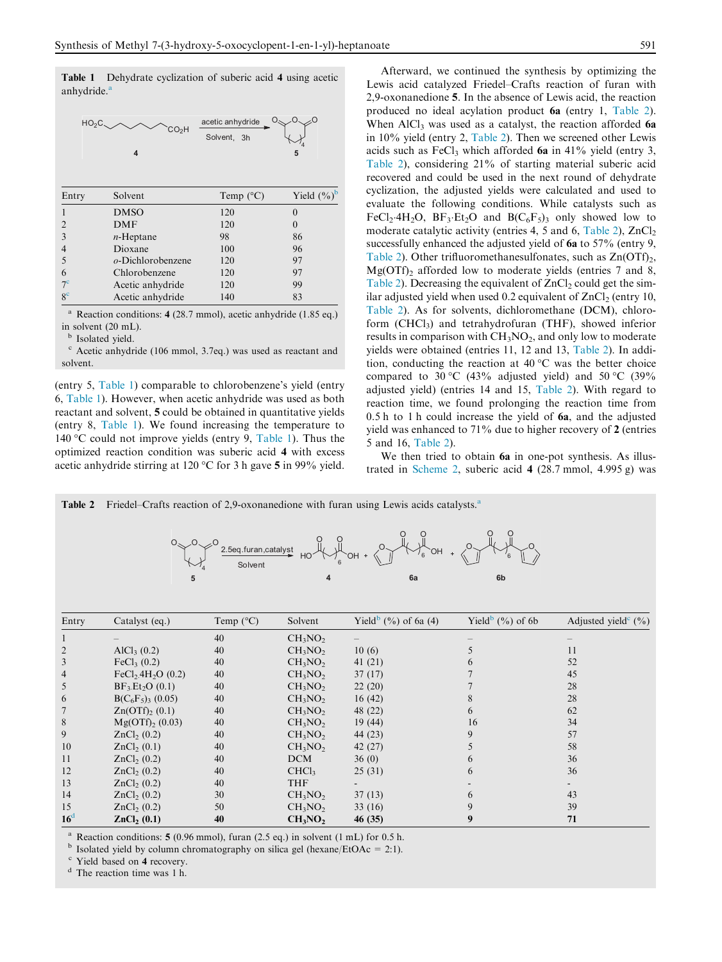<span id="page-4-0"></span>Table 1 Dehydrate cyclization of suberic acid 4 using acetic anhydride.<sup>8</sup>



Reaction conditions: 4 (28.7 mmol), acetic anhydride (1.85 eq.) in solvent (20 mL).

**b** Isolated yield.

<sup>c</sup> Acetic anhydride (106 mmol, 3.7eq.) was used as reactant and solvent.

(entry 5, Table 1) comparable to chlorobenzene's yield (entry 6, Table 1). However, when acetic anhydride was used as both reactant and solvent, 5 could be obtained in quantitative yields (entry 8, Table 1). We found increasing the temperature to 140 °C could not improve yields (entry 9, Table 1). Thus the optimized reaction condition was suberic acid 4 with excess acetic anhydride stirring at 120  $\degree$ C for 3 h gave 5 in 99% yield.

Afterward, we continued the synthesis by optimizing the Lewis acid catalyzed Friedel–Crafts reaction of furan with 2,9-oxonanedione 5. In the absence of Lewis acid, the reaction produced no ideal acylation product 6a (entry 1, Table 2). When AlCl<sub>3</sub> was used as a catalyst, the reaction afforded 6a in 10% yield (entry 2, Table 2). Then we screened other Lewis acids such as FeCl<sub>3</sub> which afforded  $6a$  in 41% yield (entry 3, Table 2), considering 21% of starting material suberic acid recovered and could be used in the next round of dehydrate cyclization, the adjusted yields were calculated and used to evaluate the following conditions. While catalysts such as FeCl<sub>2</sub>-4H<sub>2</sub>O, BF<sub>3</sub>-Et<sub>2</sub>O and B( $C_6F_5$ )<sub>3</sub> only showed low to moderate catalytic activity (entries 4, 5 and 6, Table 2),  $ZnCl<sub>2</sub>$ successfully enhanced the adjusted yield of 6a to 57% (entry 9, Table 2). Other trifluoromethanesulfonates, such as  $Zn(OTf)_{2}$ ,  $Mg(OTf)$ <sub>2</sub> afforded low to moderate yields (entries 7 and 8, Table 2). Decreasing the equivalent of  $ZnCl<sub>2</sub>$  could get the similar adjusted yield when used 0.2 equivalent of  $ZnCl<sub>2</sub>$  (entry 10, Table 2). As for solvents, dichloromethane (DCM), chloroform (CHCl<sub>3</sub>) and tetrahydrofuran (THF), showed inferior results in comparison with  $CH<sub>3</sub>NO<sub>2</sub>$ , and only low to moderate yields were obtained (entries 11, 12 and 13, Table 2). In addition, conducting the reaction at  $40^{\circ}$ C was the better choice compared to 30 °C (43% adjusted yield) and 50 °C (39% adjusted yield) (entries 14 and 15, Table 2). With regard to reaction time, we found prolonging the reaction time from 0.5 h to 1 h could increase the yield of 6a, and the adjusted yield was enhanced to 71% due to higher recovery of 2 (entries 5 and 16, Table 2).

We then tried to obtain 6a in one-pot synthesis. As illustrated in [Scheme 2,](#page-3-0) suberic acid 4 (28.7 mmol, 4.995 g) was

| 2.5eq.furan,catalyst<br>`OH<br>$6\overline{6}$<br>Solvent |                         |                    |                                 |                                  |                                 |                                  |
|-----------------------------------------------------------|-------------------------|--------------------|---------------------------------|----------------------------------|---------------------------------|----------------------------------|
|                                                           | 5                       |                    |                                 | 6a                               | 6 <sub>b</sub>                  |                                  |
|                                                           |                         |                    |                                 |                                  |                                 |                                  |
| Entry                                                     | Catalyst (eq.)          | Temp $(^{\circ}C)$ | Solvent                         | Yield <sup>b</sup> (%) of 6a (4) | Yield <sup>b</sup> $(\%)$ of 6b | Adjusted yield $\mathcal{C}(\%)$ |
|                                                           |                         | 40                 | CH <sub>3</sub> NO <sub>2</sub> |                                  |                                 |                                  |
| $\overline{2}$                                            | AlCl <sub>3</sub> (0.2) | 40                 | CH <sub>3</sub> NO <sub>2</sub> | 10(6)                            | 5                               | 11                               |
| $\mathfrak{Z}$                                            | FeCl <sub>3</sub> (0.2) | 40                 | CH <sub>3</sub> NO <sub>2</sub> | 41(21)                           | 6                               | 52                               |
| $\overline{4}$                                            | $FeCl2.4H2O$ (0.2)      | 40                 | CH <sub>3</sub> NO <sub>2</sub> | 37(17)                           |                                 | 45                               |
| 5                                                         | $BF_3.Et_2O(0.1)$       | 40                 | CH <sub>3</sub> NO <sub>2</sub> | 22(20)                           |                                 | 28                               |
| 6                                                         | $B(C_6F_5)$ (0.05)      | 40                 | CH <sub>3</sub> NO <sub>2</sub> | 16(42)                           | 8                               | 28                               |
| $\overline{7}$                                            | $Zn(OTf)_{2}(0.1)$      | 40                 | CH <sub>3</sub> NO <sub>2</sub> | 48 (22)                          | 6                               | 62                               |
| 8                                                         | $Mg(OTf)_{2}(0.03)$     | 40                 | CH <sub>3</sub> NO <sub>2</sub> | 19(44)                           | 16                              | 34                               |
| 9                                                         | ZnCl <sub>2</sub> (0.2) | 40                 | CH <sub>3</sub> NO <sub>2</sub> | 44 (23)                          | 9                               | 57                               |
| 10                                                        | ZnCl <sub>2</sub> (0.1) | 40                 | CH <sub>3</sub> NO <sub>2</sub> | 42(27)                           | 5                               | 58                               |
| 11                                                        | ZnCl <sub>2</sub> (0.2) | 40                 | <b>DCM</b>                      | 36(0)                            | 6                               | 36                               |
| 12                                                        | ZnCl <sub>2</sub> (0.2) | 40                 | CHCl <sub>3</sub>               | 25(31)                           | 6                               | 36                               |
| 13                                                        | ZnCl <sub>2</sub> (0.2) | 40                 | <b>THF</b>                      |                                  |                                 |                                  |
| 14                                                        | ZnCl <sub>2</sub> (0.2) | 30                 | $CH_3NO_2$                      | 37(13)                           | 6                               | 43                               |
| 15                                                        | ZnCl <sub>2</sub> (0.2) | 50                 | CH <sub>3</sub> NO <sub>2</sub> | 33(16)                           | 9                               | 39                               |
| 16 <sup>d</sup>                                           | ZnCl <sub>2</sub> (0.1) | 40                 | CH <sub>3</sub> NO <sub>2</sub> | 46 (35)                          | 9                               | 71                               |

Table 2 Friedel–Crafts reaction of 2,9-oxonanedione with furan using Lewis acids catalysts.<sup>a</sup>

<sup>a</sup> Reaction conditions: **5** (0.96 mmol), furan (2.5 eq.) in solvent (1 mL) for 0.5 h. b Isolated yield by column chromatography on silica gel (hexane/EtOAc = 2:1).

 $C<sup>c</sup>$  Yield based on 4 recovery.